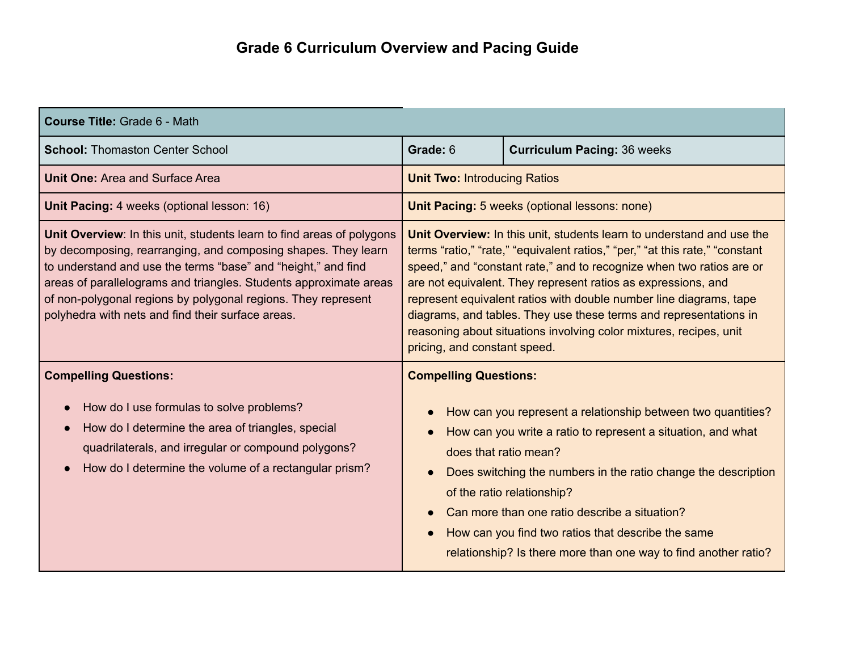| <b>Course Title: Grade 6 - Math</b>                                                                                                                                                                                                                                                                                                                                                                |                                     |                                                                                                                                                                                                                                                                                                                                                                                                                                                                                                                 |
|----------------------------------------------------------------------------------------------------------------------------------------------------------------------------------------------------------------------------------------------------------------------------------------------------------------------------------------------------------------------------------------------------|-------------------------------------|-----------------------------------------------------------------------------------------------------------------------------------------------------------------------------------------------------------------------------------------------------------------------------------------------------------------------------------------------------------------------------------------------------------------------------------------------------------------------------------------------------------------|
| <b>School: Thomaston Center School</b>                                                                                                                                                                                                                                                                                                                                                             | Grade: 6                            | <b>Curriculum Pacing: 36 weeks</b>                                                                                                                                                                                                                                                                                                                                                                                                                                                                              |
| <b>Unit One: Area and Surface Area</b>                                                                                                                                                                                                                                                                                                                                                             | <b>Unit Two: Introducing Ratios</b> |                                                                                                                                                                                                                                                                                                                                                                                                                                                                                                                 |
| Unit Pacing: 4 weeks (optional lesson: 16)                                                                                                                                                                                                                                                                                                                                                         |                                     | Unit Pacing: 5 weeks (optional lessons: none)                                                                                                                                                                                                                                                                                                                                                                                                                                                                   |
| Unit Overview: In this unit, students learn to find areas of polygons<br>by decomposing, rearranging, and composing shapes. They learn<br>to understand and use the terms "base" and "height," and find<br>areas of parallelograms and triangles. Students approximate areas<br>of non-polygonal regions by polygonal regions. They represent<br>polyhedra with nets and find their surface areas. | pricing, and constant speed.        | Unit Overview: In this unit, students learn to understand and use the<br>terms "ratio," "rate," "equivalent ratios," "per," "at this rate," "constant<br>speed," and "constant rate," and to recognize when two ratios are or<br>are not equivalent. They represent ratios as expressions, and<br>represent equivalent ratios with double number line diagrams, tape<br>diagrams, and tables. They use these terms and representations in<br>reasoning about situations involving color mixtures, recipes, unit |
| <b>Compelling Questions:</b><br>How do I use formulas to solve problems?<br>How do I determine the area of triangles, special<br>quadrilaterals, and irregular or compound polygons?<br>How do I determine the volume of a rectangular prism?                                                                                                                                                      | <b>Compelling Questions:</b>        | How can you represent a relationship between two quantities?<br>How can you write a ratio to represent a situation, and what<br>does that ratio mean?<br>Does switching the numbers in the ratio change the description<br>of the ratio relationship?<br>Can more than one ratio describe a situation?<br>How can you find two ratios that describe the same<br>relationship? Is there more than one way to find another ratio?                                                                                 |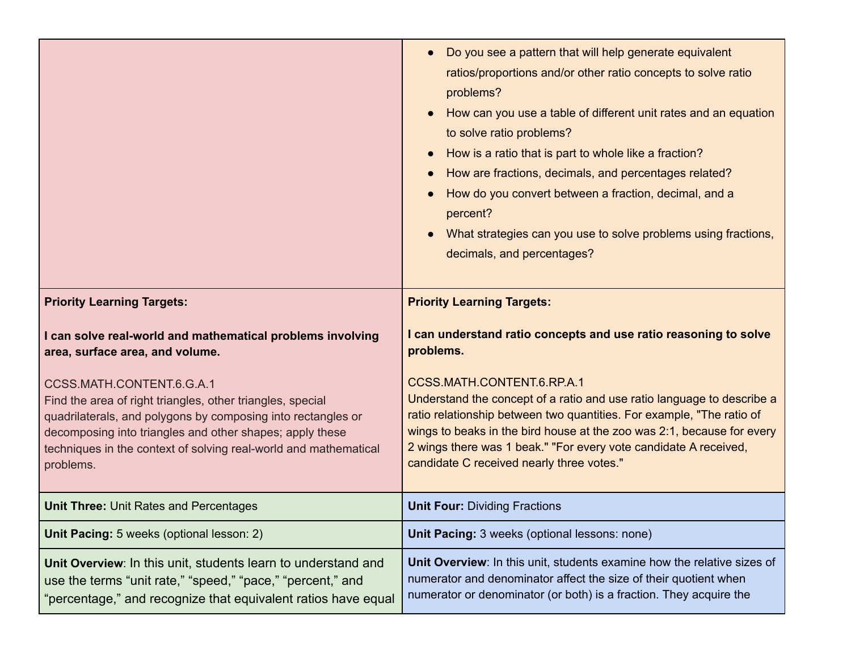|                                                                                                                                                                                                                                                                                                      | Do you see a pattern that will help generate equivalent<br>ratios/proportions and/or other ratio concepts to solve ratio<br>problems?<br>How can you use a table of different unit rates and an equation<br>to solve ratio problems?<br>How is a ratio that is part to whole like a fraction?<br>How are fractions, decimals, and percentages related?<br>How do you convert between a fraction, decimal, and a<br>percent?<br>What strategies can you use to solve problems using fractions,<br>decimals, and percentages? |
|------------------------------------------------------------------------------------------------------------------------------------------------------------------------------------------------------------------------------------------------------------------------------------------------------|-----------------------------------------------------------------------------------------------------------------------------------------------------------------------------------------------------------------------------------------------------------------------------------------------------------------------------------------------------------------------------------------------------------------------------------------------------------------------------------------------------------------------------|
| <b>Priority Learning Targets:</b>                                                                                                                                                                                                                                                                    | <b>Priority Learning Targets:</b>                                                                                                                                                                                                                                                                                                                                                                                                                                                                                           |
| I can solve real-world and mathematical problems involving<br>area, surface area, and volume.                                                                                                                                                                                                        | I can understand ratio concepts and use ratio reasoning to solve<br>problems.                                                                                                                                                                                                                                                                                                                                                                                                                                               |
| CCSS.MATH.CONTENT.6.G.A.1<br>Find the area of right triangles, other triangles, special<br>quadrilaterals, and polygons by composing into rectangles or<br>decomposing into triangles and other shapes; apply these<br>techniques in the context of solving real-world and mathematical<br>problems. | CCSS.MATH.CONTENT.6.RP.A.1<br>Understand the concept of a ratio and use ratio language to describe a<br>ratio relationship between two quantities. For example, "The ratio of<br>wings to beaks in the bird house at the zoo was 2:1, because for every<br>2 wings there was 1 beak." "For every vote candidate A received,<br>candidate C received nearly three votes."                                                                                                                                                    |
| <b>Unit Three: Unit Rates and Percentages</b>                                                                                                                                                                                                                                                        | <b>Unit Four: Dividing Fractions</b>                                                                                                                                                                                                                                                                                                                                                                                                                                                                                        |
| Unit Pacing: 5 weeks (optional lesson: 2)                                                                                                                                                                                                                                                            | Unit Pacing: 3 weeks (optional lessons: none)                                                                                                                                                                                                                                                                                                                                                                                                                                                                               |
| Unit Overview: In this unit, students learn to understand and<br>use the terms "unit rate," "speed," "pace," "percent," and<br>'percentage," and recognize that equivalent ratios have equal                                                                                                         | Unit Overview: In this unit, students examine how the relative sizes of<br>numerator and denominator affect the size of their quotient when<br>numerator or denominator (or both) is a fraction. They acquire the                                                                                                                                                                                                                                                                                                           |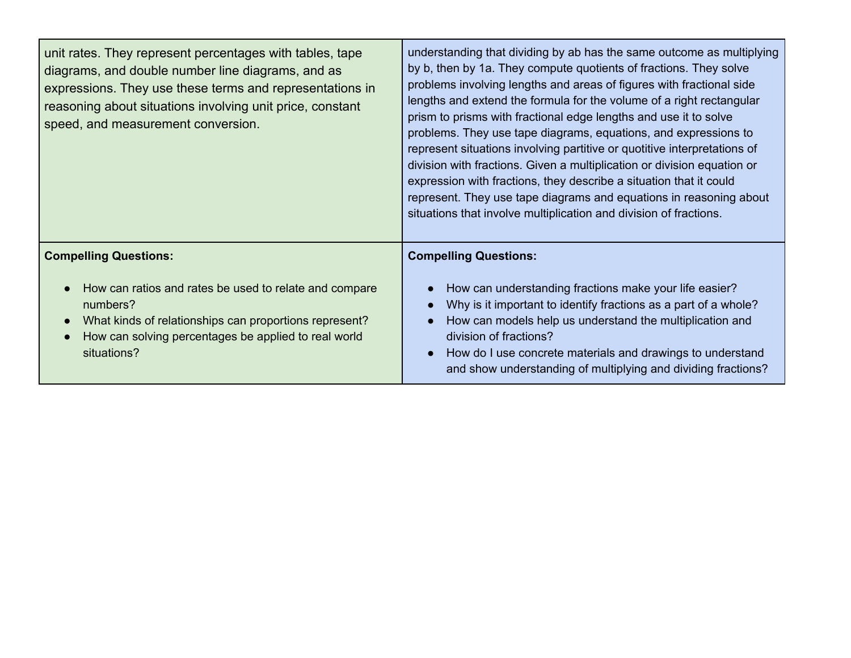| unit rates. They represent percentages with tables, tape<br>diagrams, and double number line diagrams, and as<br>expressions. They use these terms and representations in<br>reasoning about situations involving unit price, constant<br>speed, and measurement conversion. | understanding that dividing by ab has the same outcome as multiplying<br>by b, then by 1a. They compute quotients of fractions. They solve<br>problems involving lengths and areas of figures with fractional side<br>lengths and extend the formula for the volume of a right rectangular<br>prism to prisms with fractional edge lengths and use it to solve<br>problems. They use tape diagrams, equations, and expressions to<br>represent situations involving partitive or quotitive interpretations of<br>division with fractions. Given a multiplication or division equation or<br>expression with fractions, they describe a situation that it could<br>represent. They use tape diagrams and equations in reasoning about<br>situations that involve multiplication and division of fractions. |
|------------------------------------------------------------------------------------------------------------------------------------------------------------------------------------------------------------------------------------------------------------------------------|-----------------------------------------------------------------------------------------------------------------------------------------------------------------------------------------------------------------------------------------------------------------------------------------------------------------------------------------------------------------------------------------------------------------------------------------------------------------------------------------------------------------------------------------------------------------------------------------------------------------------------------------------------------------------------------------------------------------------------------------------------------------------------------------------------------|
| <b>Compelling Questions:</b><br>How can ratios and rates be used to relate and compare<br>numbers?<br>What kinds of relationships can proportions represent?<br>How can solving percentages be applied to real world<br>situations?                                          | <b>Compelling Questions:</b><br>How can understanding fractions make your life easier?<br>Why is it important to identify fractions as a part of a whole?<br>How can models help us understand the multiplication and<br>division of fractions?<br>How do I use concrete materials and drawings to understand<br>and show understanding of multiplying and dividing fractions?                                                                                                                                                                                                                                                                                                                                                                                                                            |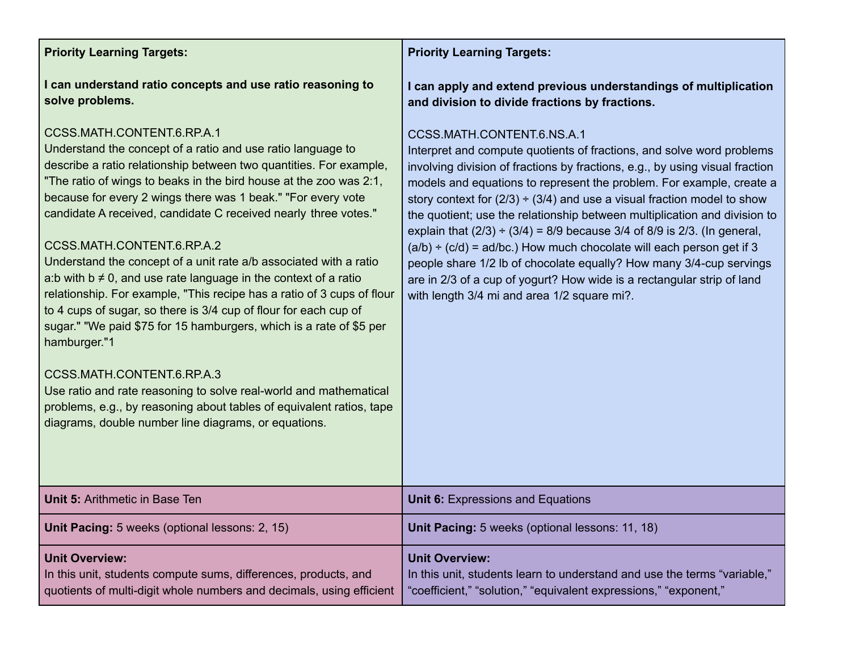## **Priority Learning Targets:**

**I can understand ratio concepts and use ratio reasoning to solve problems.**

# CCSS.MATH.CONTENT.6.RP.A.1

Understand the concept of a ratio and use ratio language to describe a ratio relationship between two quantities. For example, "The ratio of wings to beaks in the bird house at the zoo was 2:1, because for every 2 wings there was 1 beak." "For every vote candidate A received, candidate C received nearly three votes."

# CCSS.MATH.CONTENT.6.RP.A.2

Understand the concept of a unit rate a/b associated with a ratio a:b with  $b \neq 0$ , and use rate language in the context of a ratio relationship. For example, "This recipe has a ratio of 3 cups of flour to 4 cups of sugar, so there is 3/4 cup of flour for each cup of sugar." "We paid \$75 for 15 hamburgers, which is a rate of \$5 per hamburger."1

### CCSS.MATH.CONTENT.6.RP.A.3

Use ratio and rate reasoning to solve real-world and mathematical problems, e.g., by reasoning about tables of equivalent ratios, tape diagrams, double number line diagrams, or equations.

## **Priority Learning Targets:**

**I can apply and extend previous understandings of multiplication and division to divide fractions by fractions.**

### CCSS.MATH.CONTENT.6.NS.A.1

Interpret and compute quotients of fractions, and solve word problems involving division of fractions by fractions, e.g., by using visual fraction models and equations to represent the problem. For example, create a story context for  $(2/3) \div (3/4)$  and use a visual fraction model to show the quotient; use the relationship between multiplication and division to explain that  $(2/3) \div (3/4) = 8/9$  because 3/4 of 8/9 is 2/3. (In general,  $(a/b) \div (c/d) = ad/bc$ .) How much chocolate will each person get if 3 people share 1/2 lb of chocolate equally? How many 3/4-cup servings are in 2/3 of a cup of yogurt? How wide is a rectangular strip of land with length 3/4 mi and area 1/2 square mi?.

| <b>Unit 5:</b> Arithmetic in Base Ten                                                                                                                            | <b>Unit 6:</b> Expressions and Equations                                                                                                                              |
|------------------------------------------------------------------------------------------------------------------------------------------------------------------|-----------------------------------------------------------------------------------------------------------------------------------------------------------------------|
| <b>Unit Pacing:</b> 5 weeks (optional lessons: 2, 15)                                                                                                            | Unit Pacing: 5 weeks (optional lessons: 11, 18)                                                                                                                       |
| <b>Unit Overview:</b><br>In this unit, students compute sums, differences, products, and<br>quotients of multi-digit whole numbers and decimals, using efficient | <b>Unit Overview:</b><br>In this unit, students learn to understand and use the terms "variable,"<br>"coefficient," "solution," "equivalent expressions," "exponent," |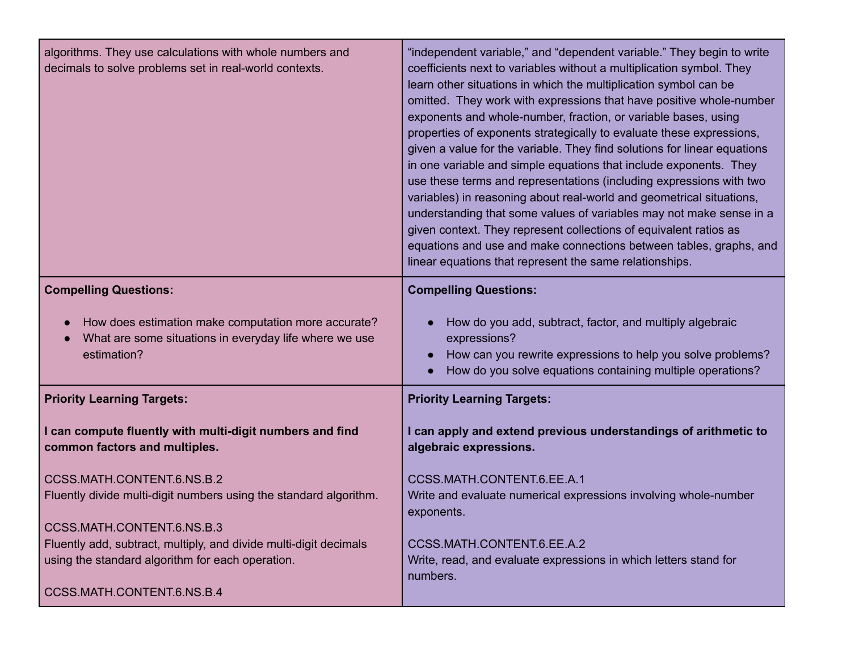| algorithms. They use calculations with whole numbers and<br>decimals to solve problems set in real-world contexts.           | "independent variable," and "dependent variable." They begin to write<br>coefficients next to variables without a multiplication symbol. They<br>learn other situations in which the multiplication symbol can be<br>omitted. They work with expressions that have positive whole-number<br>exponents and whole-number, fraction, or variable bases, using<br>properties of exponents strategically to evaluate these expressions,<br>given a value for the variable. They find solutions for linear equations<br>in one variable and simple equations that include exponents. They<br>use these terms and representations (including expressions with two<br>variables) in reasoning about real-world and geometrical situations,<br>understanding that some values of variables may not make sense in a<br>given context. They represent collections of equivalent ratios as<br>equations and use and make connections between tables, graphs, and<br>linear equations that represent the same relationships. |
|------------------------------------------------------------------------------------------------------------------------------|-----------------------------------------------------------------------------------------------------------------------------------------------------------------------------------------------------------------------------------------------------------------------------------------------------------------------------------------------------------------------------------------------------------------------------------------------------------------------------------------------------------------------------------------------------------------------------------------------------------------------------------------------------------------------------------------------------------------------------------------------------------------------------------------------------------------------------------------------------------------------------------------------------------------------------------------------------------------------------------------------------------------|
| <b>Compelling Questions:</b>                                                                                                 | <b>Compelling Questions:</b>                                                                                                                                                                                                                                                                                                                                                                                                                                                                                                                                                                                                                                                                                                                                                                                                                                                                                                                                                                                    |
| How does estimation make computation more accurate?<br>What are some situations in everyday life where we use<br>estimation? | How do you add, subtract, factor, and multiply algebraic<br>expressions?<br>How can you rewrite expressions to help you solve problems?<br>How do you solve equations containing multiple operations?                                                                                                                                                                                                                                                                                                                                                                                                                                                                                                                                                                                                                                                                                                                                                                                                           |
| <b>Priority Learning Targets:</b>                                                                                            | <b>Priority Learning Targets:</b>                                                                                                                                                                                                                                                                                                                                                                                                                                                                                                                                                                                                                                                                                                                                                                                                                                                                                                                                                                               |
| I can compute fluently with multi-digit numbers and find<br>common factors and multiples.                                    | I can apply and extend previous understandings of arithmetic to<br>algebraic expressions.                                                                                                                                                                                                                                                                                                                                                                                                                                                                                                                                                                                                                                                                                                                                                                                                                                                                                                                       |
| CCSS.MATH.CONTENT.6.NS.B.2                                                                                                   | CCSS.MATH.CONTENT.6.EE.A.1                                                                                                                                                                                                                                                                                                                                                                                                                                                                                                                                                                                                                                                                                                                                                                                                                                                                                                                                                                                      |
| Fluently divide multi-digit numbers using the standard algorithm.                                                            | Write and evaluate numerical expressions involving whole-number<br>exponents.                                                                                                                                                                                                                                                                                                                                                                                                                                                                                                                                                                                                                                                                                                                                                                                                                                                                                                                                   |
| CCSS.MATH.CONTENT.6.NS.B.3<br>Fluently add, subtract, multiply, and divide multi-digit decimals                              | CCSS.MATH.CONTENT.6.EE.A.2                                                                                                                                                                                                                                                                                                                                                                                                                                                                                                                                                                                                                                                                                                                                                                                                                                                                                                                                                                                      |
| using the standard algorithm for each operation.                                                                             | Write, read, and evaluate expressions in which letters stand for<br>numbers.                                                                                                                                                                                                                                                                                                                                                                                                                                                                                                                                                                                                                                                                                                                                                                                                                                                                                                                                    |
| CCSS.MATH.CONTENT.6.NS.B.4                                                                                                   |                                                                                                                                                                                                                                                                                                                                                                                                                                                                                                                                                                                                                                                                                                                                                                                                                                                                                                                                                                                                                 |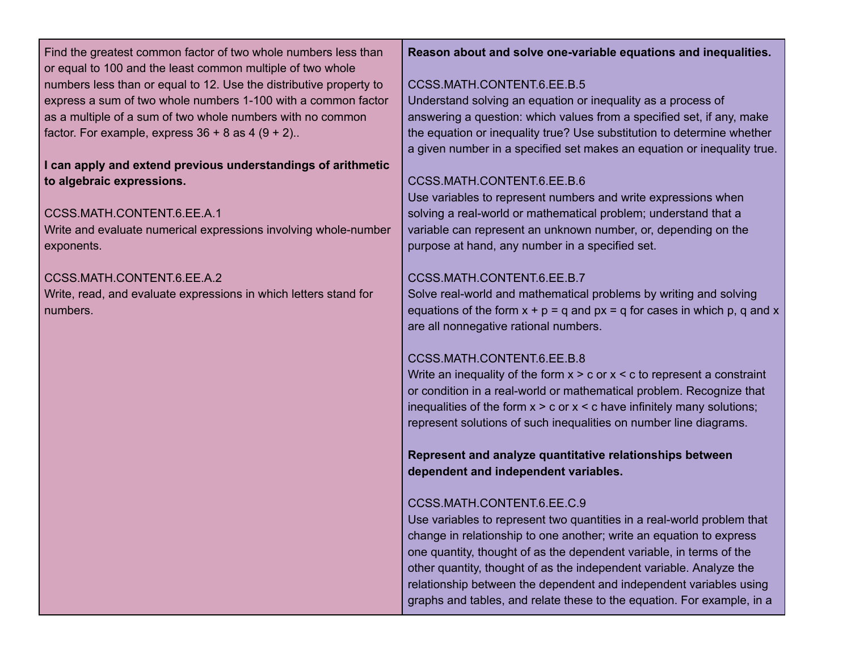Find the greatest common factor of two whole numbers less than or equal to 100 and the least common multiple of two whole numbers less than or equal to 12. Use the distributive property to express a sum of two whole numbers 1-100 with a common factor as a multiple of a sum of two whole numbers with no common factor. For example, express  $36 + 8$  as  $4 (9 + 2)$ ..

**I can apply and extend previous understandings of arithmetic to algebraic expressions.**

### CCSS.MATH.CONTENT.6.EE.A.1

Write and evaluate numerical expressions involving whole-number exponents.

### CCSS.MATH.CONTENT.6.EE.A.2

Write, read, and evaluate expressions in which letters stand for numbers.

#### **Reason about and solve one-variable equations and inequalities.**

#### CCSS.MATH.CONTENT.6.EE.B.5

Understand solving an equation or inequality as a process of answering a question: which values from a specified set, if any, make the equation or inequality true? Use substitution to determine whether a given number in a specified set makes an equation or inequality true.

### CCSS.MATH.CONTENT.6.EE.B.6

Use variables to represent numbers and write expressions when solving a real-world or mathematical problem; understand that a variable can represent an unknown number, or, depending on the purpose at hand, any number in a specified set.

### CCSS.MATH.CONTENT.6.EE.B.7

Solve real-world and mathematical problems by writing and solving equations of the form  $x + p = q$  and  $px = q$  for cases in which p, q and x are all nonnegative rational numbers.

### CCSS.MATH.CONTENT.6.EE.B.8

Write an inequality of the form  $x > c$  or  $x < c$  to represent a constraint or condition in a real-world or mathematical problem. Recognize that inequalities of the form  $x > c$  or  $x < c$  have infinitely many solutions; represent solutions of such inequalities on number line diagrams.

**Represent and analyze quantitative relationships between dependent and independent variables.**

### CCSS.MATH.CONTENT.6.EE.C.9

Use variables to represent two quantities in a real-world problem that change in relationship to one another; write an equation to express one quantity, thought of as the dependent variable, in terms of the other quantity, thought of as the independent variable. Analyze the relationship between the dependent and independent variables using graphs and tables, and relate these to the equation. For example, in a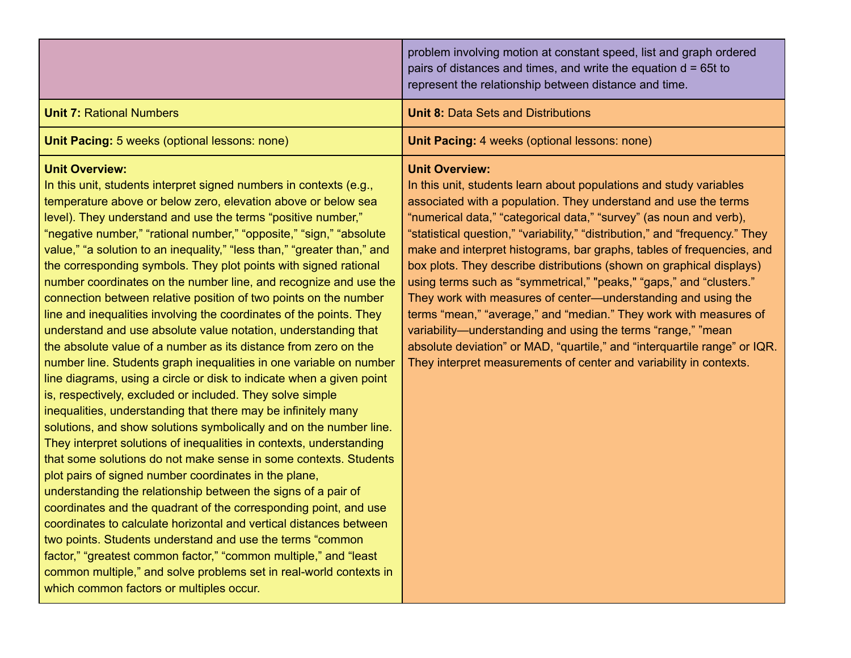|                                                                                                                                                                                                                                                                                                                                                                                                                                                                                                                                                                                                                                                                                                                                                                                                                                                                                                                                                                                                                                                                                                                                                                                                                                                                                                                                                                                                                                                                                                                                                                                                                                                                                                                                                                                                                            | problem involving motion at constant speed, list and graph ordered<br>pairs of distances and times, and write the equation $d = 65t$ to<br>represent the relationship between distance and time.                                                                                                                                                                                                                                                                                                                                                                                                                                                                                                                                                                                                                                                                                                      |
|----------------------------------------------------------------------------------------------------------------------------------------------------------------------------------------------------------------------------------------------------------------------------------------------------------------------------------------------------------------------------------------------------------------------------------------------------------------------------------------------------------------------------------------------------------------------------------------------------------------------------------------------------------------------------------------------------------------------------------------------------------------------------------------------------------------------------------------------------------------------------------------------------------------------------------------------------------------------------------------------------------------------------------------------------------------------------------------------------------------------------------------------------------------------------------------------------------------------------------------------------------------------------------------------------------------------------------------------------------------------------------------------------------------------------------------------------------------------------------------------------------------------------------------------------------------------------------------------------------------------------------------------------------------------------------------------------------------------------------------------------------------------------------------------------------------------------|-------------------------------------------------------------------------------------------------------------------------------------------------------------------------------------------------------------------------------------------------------------------------------------------------------------------------------------------------------------------------------------------------------------------------------------------------------------------------------------------------------------------------------------------------------------------------------------------------------------------------------------------------------------------------------------------------------------------------------------------------------------------------------------------------------------------------------------------------------------------------------------------------------|
| <b>Unit 7: Rational Numbers</b>                                                                                                                                                                                                                                                                                                                                                                                                                                                                                                                                                                                                                                                                                                                                                                                                                                                                                                                                                                                                                                                                                                                                                                                                                                                                                                                                                                                                                                                                                                                                                                                                                                                                                                                                                                                            | <b>Unit 8: Data Sets and Distributions</b>                                                                                                                                                                                                                                                                                                                                                                                                                                                                                                                                                                                                                                                                                                                                                                                                                                                            |
| Unit Pacing: 5 weeks (optional lessons: none)                                                                                                                                                                                                                                                                                                                                                                                                                                                                                                                                                                                                                                                                                                                                                                                                                                                                                                                                                                                                                                                                                                                                                                                                                                                                                                                                                                                                                                                                                                                                                                                                                                                                                                                                                                              | Unit Pacing: 4 weeks (optional lessons: none)                                                                                                                                                                                                                                                                                                                                                                                                                                                                                                                                                                                                                                                                                                                                                                                                                                                         |
| <b>Unit Overview:</b><br>In this unit, students interpret signed numbers in contexts (e.g.,<br>temperature above or below zero, elevation above or below sea<br>level). They understand and use the terms "positive number,"<br>"negative number," "rational number," "opposite," "sign," "absolute<br>value," "a solution to an inequality," "less than," "greater than," and<br>the corresponding symbols. They plot points with signed rational<br>number coordinates on the number line, and recognize and use the<br>connection between relative position of two points on the number<br>line and inequalities involving the coordinates of the points. They<br>understand and use absolute value notation, understanding that<br>the absolute value of a number as its distance from zero on the<br>number line. Students graph inequalities in one variable on number<br>line diagrams, using a circle or disk to indicate when a given point<br>is, respectively, excluded or included. They solve simple<br>inequalities, understanding that there may be infinitely many<br>solutions, and show solutions symbolically and on the number line.<br>They interpret solutions of inequalities in contexts, understanding<br>that some solutions do not make sense in some contexts. Students<br>plot pairs of signed number coordinates in the plane,<br>understanding the relationship between the signs of a pair of<br>coordinates and the quadrant of the corresponding point, and use<br>coordinates to calculate horizontal and vertical distances between<br>two points. Students understand and use the terms "common<br>factor," "greatest common factor," "common multiple," and "least<br>common multiple," and solve problems set in real-world contexts in<br>which common factors or multiples occur. | <b>Unit Overview:</b><br>In this unit, students learn about populations and study variables<br>associated with a population. They understand and use the terms<br>"numerical data," "categorical data," "survey" (as noun and verb),<br>"statistical question," "variability," "distribution," and "frequency." They<br>make and interpret histograms, bar graphs, tables of frequencies, and<br>box plots. They describe distributions (shown on graphical displays)<br>using terms such as "symmetrical," "peaks," "gaps," and "clusters."<br>They work with measures of center-understanding and using the<br>terms "mean," "average," and "median." They work with measures of<br>variability-understanding and using the terms "range," "mean<br>absolute deviation" or MAD, "quartile," and "interquartile range" or IQR.<br>They interpret measurements of center and variability in contexts. |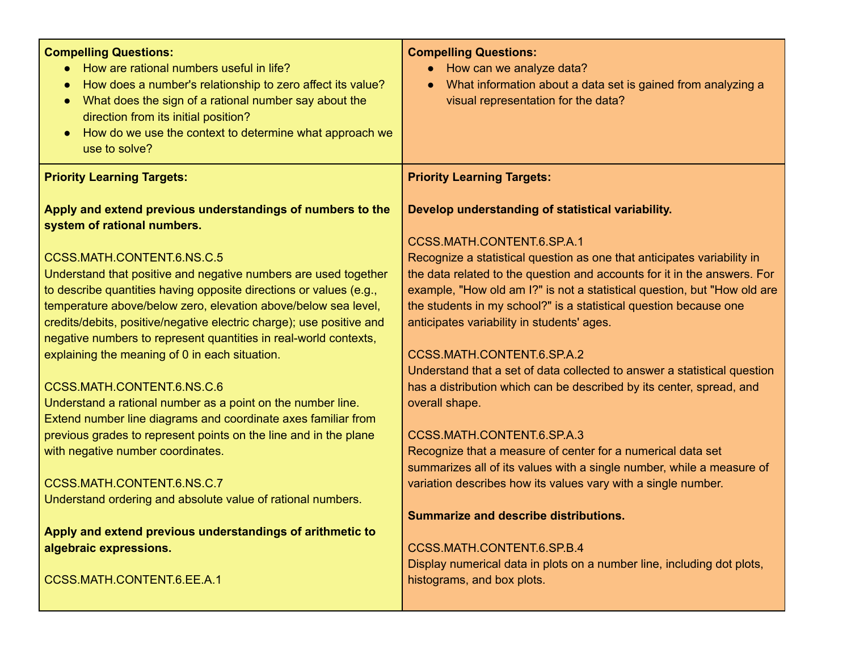| How do we use the context to determine what approach we<br>$\bullet$<br>use to solve?<br><b>Priority Learning Targets:</b><br><b>Priority Learning Targets:</b><br>Apply and extend previous understandings of numbers to the<br>Develop understanding of statistical variability.<br>system of rational numbers.<br>CCSS.MATH.CONTENT.6.SP.A.1<br>CCSS.MATH.CONTENT.6.NS.C.5<br>Recognize a statistical question as one that anticipates variability in<br>Understand that positive and negative numbers are used together<br>the data related to the question and accounts for it in the answers. For<br>to describe quantities having opposite directions or values (e.g.,<br>example, "How old am I?" is not a statistical question, but "How old are<br>temperature above/below zero, elevation above/below sea level,<br>the students in my school?" is a statistical question because one<br>credits/debits, positive/negative electric charge); use positive and<br>anticipates variability in students' ages.<br>negative numbers to represent quantities in real-world contexts,<br>explaining the meaning of 0 in each situation.<br>CCSS.MATH.CONTENT.6.SP.A.2<br>Understand that a set of data collected to answer a statistical question<br>CCSS.MATH.CONTENT.6.NS.C.6<br>has a distribution which can be described by its center, spread, and<br>Understand a rational number as a point on the number line.<br>overall shape.<br>Extend number line diagrams and coordinate axes familiar from<br>previous grades to represent points on the line and in the plane<br>CCSS.MATH.CONTENT.6.SP.A.3<br>with negative number coordinates.<br>Recognize that a measure of center for a numerical data set<br>summarizes all of its values with a single number, while a measure of<br>CCSS.MATH.CONTENT.6.NS.C.7<br>variation describes how its values vary with a single number.<br>Understand ordering and absolute value of rational numbers.<br><b>Summarize and describe distributions.</b><br>Apply and extend previous understandings of arithmetic to<br>algebraic expressions.<br>CCSS.MATH.CONTENT.6.SP.B.4<br>Display numerical data in plots on a number line, including dot plots,<br>CCSS.MATH.CONTENT.6.EE.A.1<br>histograms, and box plots. | <b>Compelling Questions:</b><br>How are rational numbers useful in life?<br>How does a number's relationship to zero affect its value?<br>What does the sign of a rational number say about the<br>direction from its initial position? | <b>Compelling Questions:</b><br>How can we analyze data?<br>$\bullet$<br>What information about a data set is gained from analyzing a<br>$\bullet$<br>visual representation for the data? |
|------------------------------------------------------------------------------------------------------------------------------------------------------------------------------------------------------------------------------------------------------------------------------------------------------------------------------------------------------------------------------------------------------------------------------------------------------------------------------------------------------------------------------------------------------------------------------------------------------------------------------------------------------------------------------------------------------------------------------------------------------------------------------------------------------------------------------------------------------------------------------------------------------------------------------------------------------------------------------------------------------------------------------------------------------------------------------------------------------------------------------------------------------------------------------------------------------------------------------------------------------------------------------------------------------------------------------------------------------------------------------------------------------------------------------------------------------------------------------------------------------------------------------------------------------------------------------------------------------------------------------------------------------------------------------------------------------------------------------------------------------------------------------------------------------------------------------------------------------------------------------------------------------------------------------------------------------------------------------------------------------------------------------------------------------------------------------------------------------------------------------------------------------------------------------------------------------------------------------------------------------------------------|-----------------------------------------------------------------------------------------------------------------------------------------------------------------------------------------------------------------------------------------|-------------------------------------------------------------------------------------------------------------------------------------------------------------------------------------------|
|                                                                                                                                                                                                                                                                                                                                                                                                                                                                                                                                                                                                                                                                                                                                                                                                                                                                                                                                                                                                                                                                                                                                                                                                                                                                                                                                                                                                                                                                                                                                                                                                                                                                                                                                                                                                                                                                                                                                                                                                                                                                                                                                                                                                                                                                        |                                                                                                                                                                                                                                         |                                                                                                                                                                                           |
|                                                                                                                                                                                                                                                                                                                                                                                                                                                                                                                                                                                                                                                                                                                                                                                                                                                                                                                                                                                                                                                                                                                                                                                                                                                                                                                                                                                                                                                                                                                                                                                                                                                                                                                                                                                                                                                                                                                                                                                                                                                                                                                                                                                                                                                                        |                                                                                                                                                                                                                                         |                                                                                                                                                                                           |
|                                                                                                                                                                                                                                                                                                                                                                                                                                                                                                                                                                                                                                                                                                                                                                                                                                                                                                                                                                                                                                                                                                                                                                                                                                                                                                                                                                                                                                                                                                                                                                                                                                                                                                                                                                                                                                                                                                                                                                                                                                                                                                                                                                                                                                                                        |                                                                                                                                                                                                                                         |                                                                                                                                                                                           |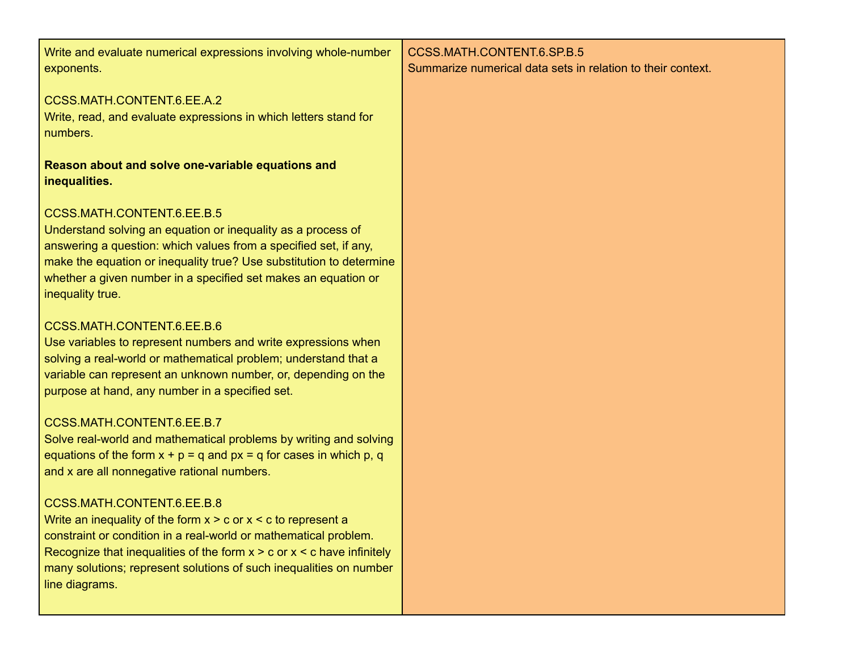| Write and evaluate numerical expressions involving whole-number<br>exponents.                                                                                                                                                                                                                                                             | CCSS.MATH.CONTENT.6.SP.B.5<br>Summarize numerical data sets in relation to their context. |
|-------------------------------------------------------------------------------------------------------------------------------------------------------------------------------------------------------------------------------------------------------------------------------------------------------------------------------------------|-------------------------------------------------------------------------------------------|
| CCSS.MATH.CONTENT.6.EE.A.2<br>Write, read, and evaluate expressions in which letters stand for<br>numbers.                                                                                                                                                                                                                                |                                                                                           |
| Reason about and solve one-variable equations and<br>inequalities.                                                                                                                                                                                                                                                                        |                                                                                           |
| CCSS.MATH.CONTENT.6.EE.B.5<br>Understand solving an equation or inequality as a process of<br>answering a question: which values from a specified set, if any,<br>make the equation or inequality true? Use substitution to determine<br>whether a given number in a specified set makes an equation or<br>inequality true.               |                                                                                           |
| CCSS.MATH.CONTENT.6.EE.B.6<br>Use variables to represent numbers and write expressions when<br>solving a real-world or mathematical problem; understand that a<br>variable can represent an unknown number, or, depending on the<br>purpose at hand, any number in a specified set.                                                       |                                                                                           |
| CCSS.MATH.CONTENT.6.EE.B.7<br>Solve real-world and mathematical problems by writing and solving<br>equations of the form $x + p = q$ and $px = q$ for cases in which p, q<br>and x are all nonnegative rational numbers.                                                                                                                  |                                                                                           |
| CCSS.MATH.CONTENT.6.EE.B.8<br>Write an inequality of the form $x > c$ or $x < c$ to represent a<br>constraint or condition in a real-world or mathematical problem.<br>Recognize that inequalities of the form $x > c$ or $x < c$ have infinitely<br>many solutions; represent solutions of such inequalities on number<br>line diagrams. |                                                                                           |